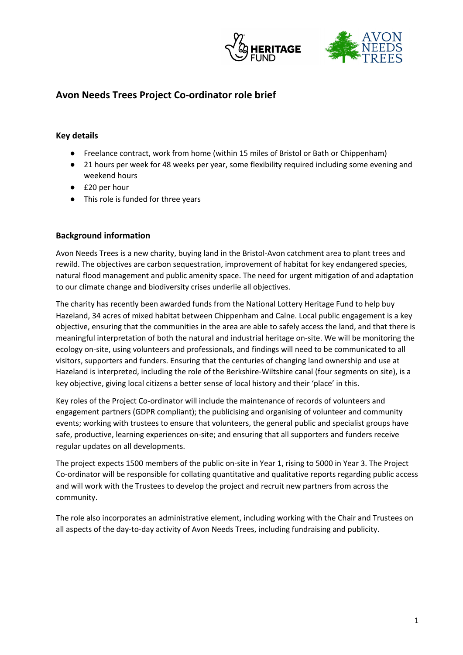



# **Avon Needs Trees Project Co-ordinator role brief**

# **Key details**

- Freelance contract, work from home (within 15 miles of Bristol or Bath or Chippenham)
- 21 hours per week for 48 weeks per year, some flexibility required including some evening and weekend hours
- £20 per hour
- This role is funded for three years

## **Background information**

Avon Needs Trees is a new charity, buying land in the Bristol-Avon catchment area to plant trees and rewild. The objectives are carbon sequestration, improvement of habitat for key endangered species, natural flood management and public amenity space. The need for urgent mitigation of and adaptation to our climate change and biodiversity crises underlie all objectives.

The charity has recently been awarded funds from the National Lottery Heritage Fund to help buy Hazeland, 34 acres of mixed habitat between Chippenham and Calne. Local public engagement is a key objective, ensuring that the communities in the area are able to safely access the land, and that there is meaningful interpretation of both the natural and industrial heritage on-site. We will be monitoring the ecology on-site, using volunteers and professionals, and findings will need to be communicated to all visitors, supporters and funders. Ensuring that the centuries of changing land ownership and use at Hazeland is interpreted, including the role of the Berkshire-Wiltshire canal (four segments on site), is a key objective, giving local citizens a better sense of local history and their 'place' in this.

Key roles of the Project Co-ordinator will include the maintenance of records of volunteers and engagement partners (GDPR compliant); the publicising and organising of volunteer and community events; working with trustees to ensure that volunteers, the general public and specialist groups have safe, productive, learning experiences on-site; and ensuring that all supporters and funders receive regular updates on all developments.

The project expects 1500 members of the public on-site in Year 1, rising to 5000 in Year 3. The Project Co-ordinator will be responsible for collating quantitative and qualitative reports regarding public access and will work with the Trustees to develop the project and recruit new partners from across the community.

The role also incorporates an administrative element, including working with the Chair and Trustees on all aspects of the day-to-day activity of Avon Needs Trees, including fundraising and publicity.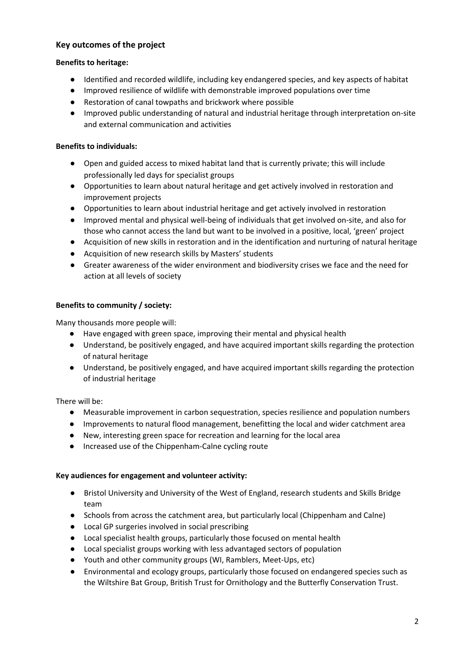# **Key outcomes of the project**

### **Benefits to heritage:**

- Identified and recorded wildlife, including key endangered species, and key aspects of habitat
- Improved resilience of wildlife with demonstrable improved populations over time
- Restoration of canal towpaths and brickwork where possible
- Improved public understanding of natural and industrial heritage through interpretation on-site and external communication and activities

### **Benefits to individuals:**

- Open and guided access to mixed habitat land that is currently private; this will include professionally led days for specialist groups
- Opportunities to learn about natural heritage and get actively involved in restoration and improvement projects
- Opportunities to learn about industrial heritage and get actively involved in restoration
- Improved mental and physical well-being of individuals that get involved on-site, and also for those who cannot access the land but want to be involved in a positive, local, 'green' project
- Acquisition of new skills in restoration and in the identification and nurturing of natural heritage
- Acquisition of new research skills by Masters' students
- Greater awareness of the wider environment and biodiversity crises we face and the need for action at all levels of society

### **Benefits to community / society:**

Many thousands more people will:

- Have engaged with green space, improving their mental and physical health
- Understand, be positively engaged, and have acquired important skills regarding the protection of natural heritage
- Understand, be positively engaged, and have acquired important skills regarding the protection of industrial heritage

There will be:

- Measurable improvement in carbon sequestration, species resilience and population numbers
- Improvements to natural flood management, benefitting the local and wider catchment area
- New, interesting green space for recreation and learning for the local area
- Increased use of the Chippenham-Calne cycling route

#### **Key audiences for engagement and volunteer activity:**

- Bristol University and University of the West of England, research students and Skills Bridge team
- Schools from across the catchment area, but particularly local (Chippenham and Calne)
- Local GP surgeries involved in social prescribing
- Local specialist health groups, particularly those focused on mental health
- Local specialist groups working with less advantaged sectors of population
- Youth and other community groups (WI, Ramblers, Meet-Ups, etc)
- Environmental and ecology groups, particularly those focused on endangered species such as the Wiltshire Bat Group, British Trust for Ornithology and the Butterfly Conservation Trust.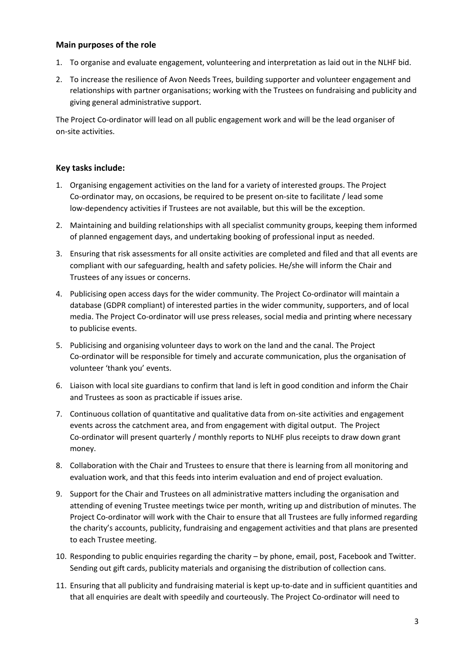## **Main purposes of the role**

- 1. To organise and evaluate engagement, volunteering and interpretation as laid out in the NLHF bid.
- 2. To increase the resilience of Avon Needs Trees, building supporter and volunteer engagement and relationships with partner organisations; working with the Trustees on fundraising and publicity and giving general administrative support.

The Project Co-ordinator will lead on all public engagement work and will be the lead organiser of on-site activities.

## **Key tasks include:**

- 1. Organising engagement activities on the land for a variety of interested groups. The Project Co-ordinator may, on occasions, be required to be present on-site to facilitate / lead some low-dependency activities if Trustees are not available, but this will be the exception.
- 2. Maintaining and building relationships with all specialist community groups, keeping them informed of planned engagement days, and undertaking booking of professional input as needed.
- 3. Ensuring that risk assessments for all onsite activities are completed and filed and that all events are compliant with our safeguarding, health and safety policies. He/she will inform the Chair and Trustees of any issues or concerns.
- 4. Publicising open access days for the wider community. The Project Co-ordinator will maintain a database (GDPR compliant) of interested parties in the wider community, supporters, and of local media. The Project Co-ordinator will use press releases, social media and printing where necessary to publicise events.
- 5. Publicising and organising volunteer days to work on the land and the canal. The Project Co-ordinator will be responsible for timely and accurate communication, plus the organisation of volunteer 'thank you' events.
- 6. Liaison with local site guardians to confirm that land is left in good condition and inform the Chair and Trustees as soon as practicable if issues arise.
- 7. Continuous collation of quantitative and qualitative data from on-site activities and engagement events across the catchment area, and from engagement with digital output. The Project Co-ordinator will present quarterly / monthly reports to NLHF plus receipts to draw down grant money.
- 8. Collaboration with the Chair and Trustees to ensure that there is learning from all monitoring and evaluation work, and that this feeds into interim evaluation and end of project evaluation.
- 9. Support for the Chair and Trustees on all administrative matters including the organisation and attending of evening Trustee meetings twice per month, writing up and distribution of minutes. The Project Co-ordinator will work with the Chair to ensure that all Trustees are fully informed regarding the charity's accounts, publicity, fundraising and engagement activities and that plans are presented to each Trustee meeting.
- 10. Responding to public enquiries regarding the charity by phone, email, post, Facebook and Twitter. Sending out gift cards, publicity materials and organising the distribution of collection cans.
- 11. Ensuring that all publicity and fundraising material is kept up-to-date and in sufficient quantities and that all enquiries are dealt with speedily and courteously. The Project Co-ordinator will need to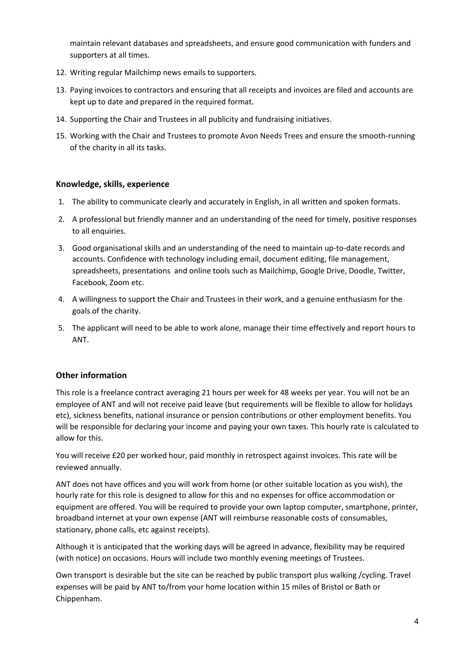maintain relevant databases and spreadsheets, and ensure good communication with funders and supporters at all times.

- 12. Writing regular Mailchimp news emails to supporters.
- 13. Paying invoices to contractors and ensuring that all receipts and invoices are filed and accounts are kept up to date and prepared in the required format.
- 14. Supporting the Chair and Trustees in all publicity and fundraising initiatives.
- 15. Working with the Chair and Trustees to promote Avon Needs Trees and ensure the smooth-running of the charity in all its tasks.

# **Knowledge, skills, experience**

- 1. The ability to communicate clearly and accurately in English, in all written and spoken formats.
- 2. A professional but friendly manner and an understanding of the need for timely, positive responses to all enquiries.
- 3. Good organisational skills and an understanding of the need to maintain up-to-date records and accounts. Confidence with technology including email, document editing, file management, spreadsheets, presentations and online tools such as Mailchimp, Google Drive, Doodle, Twitter, Facebook, Zoom etc.
- 4. A willingness to support the Chair and Trustees in their work, and a genuine enthusiasm for the goals of the charity.
- 5. The applicant will need to be able to work alone, manage their time effectively and report hours to ANT.

# **Other information**

This role is a freelance contract averaging 21 hours per week for 48 weeks per year. You will not be an employee of ANT and will not receive paid leave (but requirements will be flexible to allow for holidays etc), sickness benefits, national insurance or pension contributions or other employment benefits. You will be responsible for declaring your income and paying your own taxes. This hourly rate is calculated to allow for this.

You will receive £20 per worked hour, paid monthly in retrospect against invoices. This rate will be reviewed annually.

ANT does not have offices and you will work from home (or other suitable location as you wish), the hourly rate for this role is designed to allow for this and no expenses for office accommodation or equipment are offered. You will be required to provide your own laptop computer, smartphone, printer, broadband internet at your own expense (ANT will reimburse reasonable costs of consumables, stationary, phone calls, etc against receipts).

Although it is anticipated that the working days will be agreed in advance, flexibility may be required (with notice) on occasions. Hours will include two monthly evening meetings of Trustees.

Own transport is desirable but the site can be reached by public transport plus walking /cycling. Travel expenses will be paid by ANT to/from your home location within 15 miles of Bristol or Bath or Chippenham.